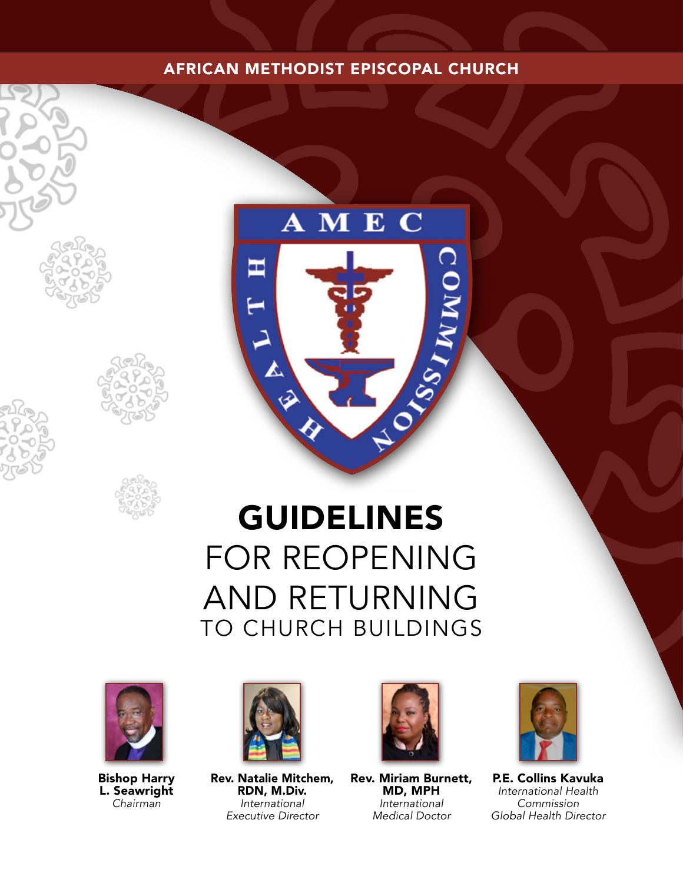# AFRICAN METHODIST EPISCOPAL CHURCH



# GUIDELINES FOR REOPENING AND RETURNING TO CHURCH BUILDINGS



Bishop Harry L. Seawright *Chairman*



Rev. Natalie Mitchem, RDN, M.Div. *International Executive Director*



Rev. Miriam Burnett, MD, MPH *International Medical Doctor*



P.E. Collins Kavuka *International Health Commission Global Health Director*



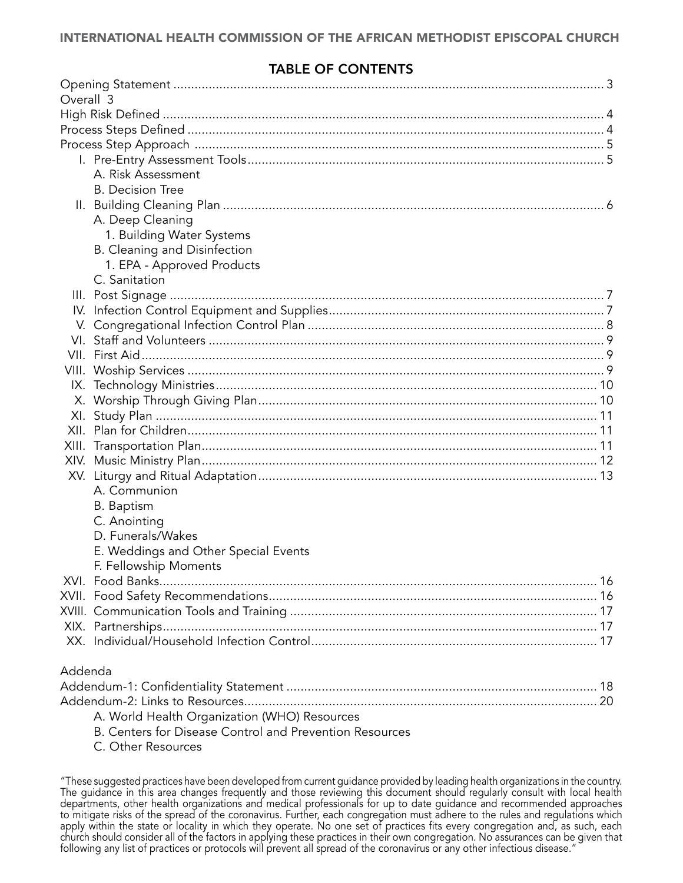## TABLE OF CONTENTS

| Overall 3 |                                                         |  |
|-----------|---------------------------------------------------------|--|
|           |                                                         |  |
|           |                                                         |  |
|           |                                                         |  |
|           |                                                         |  |
|           | A. Risk Assessment                                      |  |
|           | <b>B.</b> Decision Tree                                 |  |
|           |                                                         |  |
|           | A. Deep Cleaning                                        |  |
|           | 1. Building Water Systems                               |  |
|           | <b>B.</b> Cleaning and Disinfection                     |  |
|           | 1. EPA - Approved Products                              |  |
|           | C. Sanitation                                           |  |
|           |                                                         |  |
|           |                                                         |  |
|           |                                                         |  |
|           |                                                         |  |
|           |                                                         |  |
|           |                                                         |  |
|           |                                                         |  |
|           |                                                         |  |
|           |                                                         |  |
|           |                                                         |  |
|           |                                                         |  |
|           |                                                         |  |
|           |                                                         |  |
|           | A. Communion                                            |  |
|           | <b>B.</b> Baptism                                       |  |
|           | C. Anointing                                            |  |
|           | D. Funerals/Wakes                                       |  |
|           | E. Weddings and Other Special Events                    |  |
|           | F. Fellowship Moments                                   |  |
|           |                                                         |  |
|           |                                                         |  |
|           |                                                         |  |
|           |                                                         |  |
|           |                                                         |  |
| Addenda   |                                                         |  |
|           |                                                         |  |
|           |                                                         |  |
|           | A. World Health Organization (WHO) Resources            |  |
|           | B. Centers for Disease Control and Prevention Resources |  |

C. [Other Resources](#page-21-0)

<sup>&</sup>quot;These suggested practices have been developed from current guidance provided by leading health organizations in the country. The guidance in this area changes frequently and those reviewing this document should regularly consult with local health departments, other health organizations and medical professionals for up to date guidance and recommended approaches to mitigate risks of the spread of the coronavirus. Further, each congregation must adhere to the rules and regulations which apply within the state or locality in which they operate. No one set of practices fits every congregation and, as such, each church should consider all of the factors in applying these practices in their own congregation. No assurances can be given that following any list of practices or protocols will prevent all spread of the coronavirus or any other infectious disease."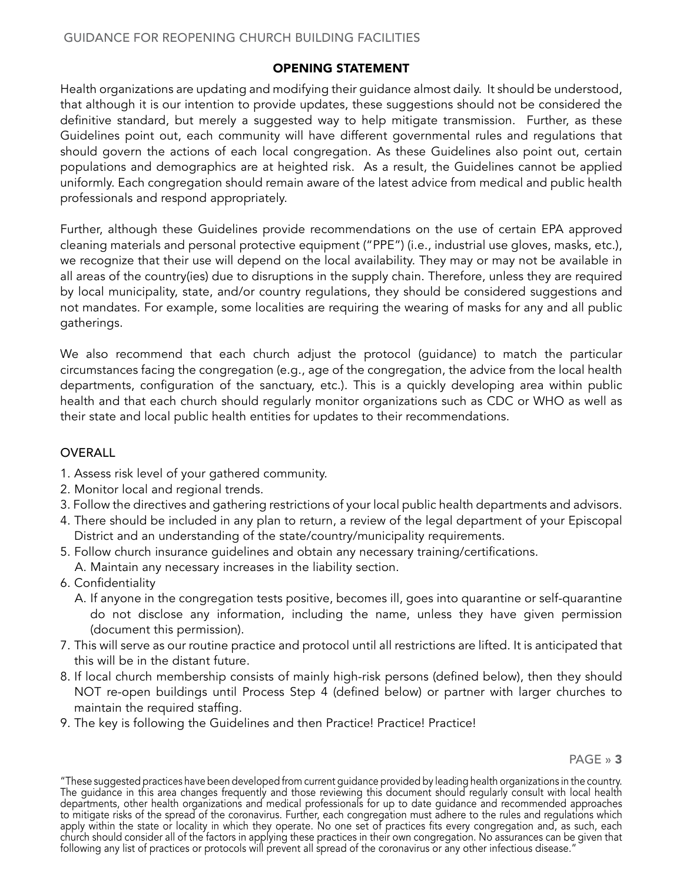## OPENING STATEMENT

<span id="page-2-0"></span>Health organizations are updating and modifying their guidance almost daily. It should be understood, that although it is our intention to provide updates, these suggestions should not be considered the definitive standard, but merely a suggested way to help mitigate transmission. Further, as these Guidelines point out, each community will have different governmental rules and regulations that should govern the actions of each local congregation. As these Guidelines also point out, certain populations and demographics are at heighted risk. As a result, the Guidelines cannot be applied uniformly. Each congregation should remain aware of the latest advice from medical and public health professionals and respond appropriately.

Further, although these Guidelines provide recommendations on the use of certain EPA approved cleaning materials and personal protective equipment ("PPE") (i.e., industrial use gloves, masks, etc.), we recognize that their use will depend on the local availability. They may or may not be available in all areas of the country(ies) due to disruptions in the supply chain. Therefore, unless they are required by local municipality, state, and/or country regulations, they should be considered suggestions and not mandates. For example, some localities are requiring the wearing of masks for any and all public gatherings.

We also recommend that each church adjust the protocol (guidance) to match the particular circumstances facing the congregation (e.g., age of the congregation, the advice from the local health departments, configuration of the sanctuary, etc.). This is a quickly developing area within public health and that each church should regularly monitor organizations such as CDC or WHO as well as their state and local public health entities for updates to their recommendations.

## OVERALL

- 1. Assess risk level of your gathered community.
- 2. Monitor local and regional trends.
- 3. Follow the directives and gathering restrictions of your local public health departments and advisors.
- 4. There should be included in any plan to return, a review of the legal department of your Episcopal District and an understanding of the state/country/municipality requirements.
- 5. Follow church insurance guidelines and obtain any necessary training/certifications.
- A. Maintain any necessary increases in the liability section.
- 6. Confidentiality
	- A. If anyone in the congregation tests positive, becomes ill, goes into quarantine or self-quarantine do not disclose any information, including the name, unless they have given permission (document this permission).
- 7. This will serve as our routine practice and protocol until all restrictions are lifted. It is anticipated that this will be in the distant future.
- 8. If local church membership consists of mainly high-risk persons (defined below), then they should NOT re-open buildings until Process Step 4 (defined below) or partner with larger churches to maintain the required staffing.
- 9. The key is following the Guidelines and then Practice! Practice! Practice!

<sup>&</sup>quot;These suggested practices have been developed from current guidance provided by leading health organizations in the country. The guidance in this area changes frequently and those reviewing this document should regularly consult with local health departments, other health organizations and medical professionals for up to date guidance and recommended approaches to mitigate risks of the spread of the coronavirus. Further, each congregation must adhere to the rules and regulations which apply within the state or locality in which they operate. No one set of practices fits every congregation and, as such, each church should consider all of the factors in applying these practices in their own congregation. No assurances can be given that following any list of practices or protocols will prevent all spread of the coronavirus or any other infectious disease.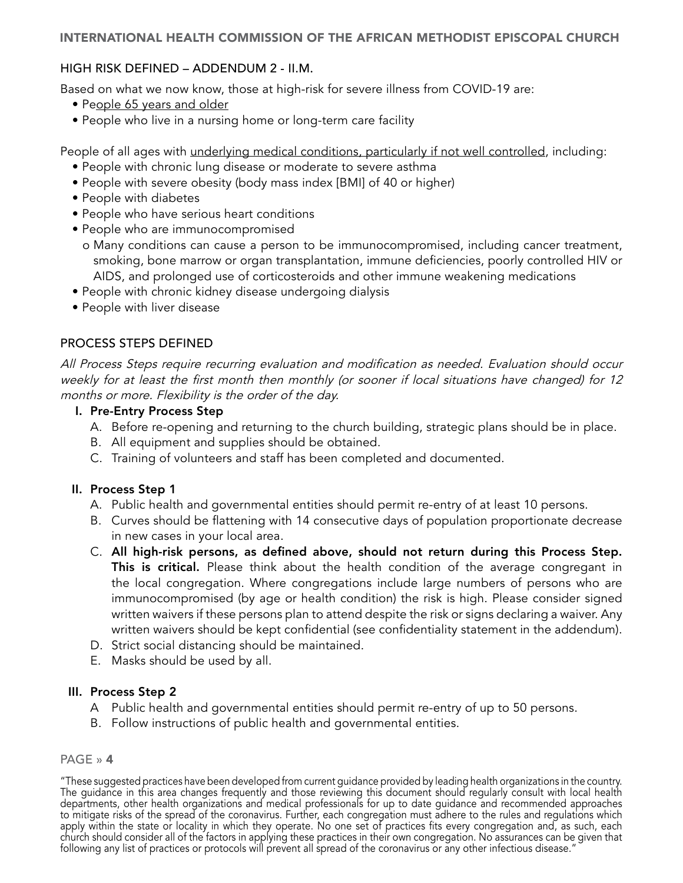## <span id="page-3-0"></span>HIGH RISK DEFINED – ADDENDUM 2 - II.M.

Based on what we now know, those at high-risk for severe illness from COVID-19 are:

- People 65 years and older
- People who live in a nursing home or long-term care facility

People of all ages with *underlying medical conditions, particularly if not well controlled*, including:

- People with chronic lung disease or moderate to severe asthma
- People with severe obesity (body mass index [BMI] of 40 or higher)
- People with diabetes
- People who have serious heart conditions
- People who are immunocompromised
	- o Many conditions can cause a person to be immunocompromised, including cancer treatment, smoking, bone marrow or organ transplantation, immune deficiencies, poorly controlled HIV or AIDS, and prolonged use of corticosteroids and other immune weakening medications
- People with chronic kidney disease undergoing dialysis
- People with liver disease

## PROCESS STEPS DEFINED

All Process Steps require recurring evaluation and modification as needed. Evaluation should occur weekly for at least the first month then monthly (or sooner if local situations have changed) for 12 months or more. Flexibility is the order of the day.

## I. Pre-Entry Process Step

- A. Before re-opening and returning to the church building, strategic plans should be in place.
- B. All equipment and supplies should be obtained.
- C. Training of volunteers and staff has been completed and documented.

## II. Process Step 1

- A. Public health and governmental entities should permit re-entry of at least 10 persons.
- B. Curves should be flattening with 14 consecutive days of population proportionate decrease in new cases in your local area.
- C. All high-risk persons, as defined above, should not return during this Process Step. This is critical. Please think about the health condition of the average congregant in the local congregation. Where congregations include large numbers of persons who are immunocompromised (by age or health condition) the risk is high. Please consider signed written waivers if these persons plan to attend despite the risk or signs declaring a waiver. Any written waivers should be kept confidential (see confidentiality statement in the addendum).
- D. Strict social distancing should be maintained.
- E. Masks should be used by all.

## III. Process Step 2

- A Public health and governmental entities should permit re-entry of up to 50 persons.
- B. Follow instructions of public health and governmental entities.

#### PAGE » 4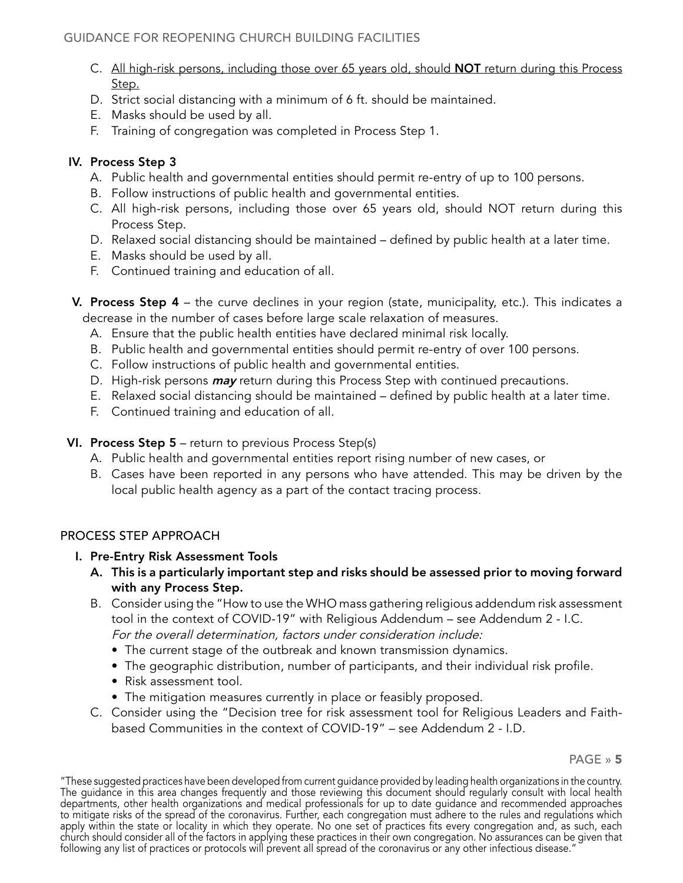- <span id="page-4-0"></span>C. All high-risk persons, including those over 65 years old, should **NOT** return during this Process Step.
- D. Strict social distancing with a minimum of 6 ft. should be maintained.
- E. Masks should be used by all.
- F. Training of congregation was completed in Process Step 1.

## IV. Process Step 3

- A. Public health and governmental entities should permit re-entry of up to 100 persons.
- B. Follow instructions of public health and governmental entities.
- C. All high-risk persons, including those over 65 years old, should NOT return during this Process Step.
- D. Relaxed social distancing should be maintained defined by public health at a later time.
- E. Masks should be used by all.
- F. Continued training and education of all.
- V. Process Step 4 the curve declines in your region (state, municipality, etc.). This indicates a decrease in the number of cases before large scale relaxation of measures.
	- A. Ensure that the public health entities have declared minimal risk locally.
	- B. Public health and governmental entities should permit re-entry of over 100 persons.
	- C. Follow instructions of public health and governmental entities.
	- D. High-risk persons *may* return during this Process Step with continued precautions.
	- E. Relaxed social distancing should be maintained defined by public health at a later time.
	- F. Continued training and education of all.

## VI. Process Step 5 – return to previous Process Step(s)

- A. Public health and governmental entities report rising number of new cases, or
- B. Cases have been reported in any persons who have attended. This may be driven by the local public health agency as a part of the contact tracing process.

## PROCESS STEP APPROACH

- I. Pre-Entry Risk Assessment Tools
	- A. This is a particularly important step and risks should be assessed prior to moving forward with any Process Step.
	- B. Consider using the "How to use the WHO mass gathering religious addendum risk assessment tool in the context of COVID-19" with Religious Addendum – see Addendum 2 - I.C. For the overall determination, factors under consideration include:
		- The current stage of the outbreak and known transmission dynamics.
		- The geographic distribution, number of participants, and their individual risk profile.
		- Risk assessment tool.
		- The mitigation measures currently in place or feasibly proposed.
	- C. Consider using the "Decision tree for risk assessment tool for Religious Leaders and Faithbased Communities in the context of COVID-19" – see Addendum 2 - I.D.

<sup>&</sup>quot;These suggested practices have been developed from current guidance provided by leading health organizations in the country. The guidance in this area changes frequently and those reviewing this document should regularly consult with local health departments, other health organizations and medical professionals for up to date guidance and recommended approaches to mitigate risks of the spread of the coronavirus. Further, each congregation must adhere to the rules and regulations which apply within the state or locality in which they operate. No one set of practices fits every congregation and, as such, each church should consider all of the factors in applying these practices in their own congregation. No assurances can be given that following any list of practices or protocols will prevent all spread of the coronavirus or any other infectious disease.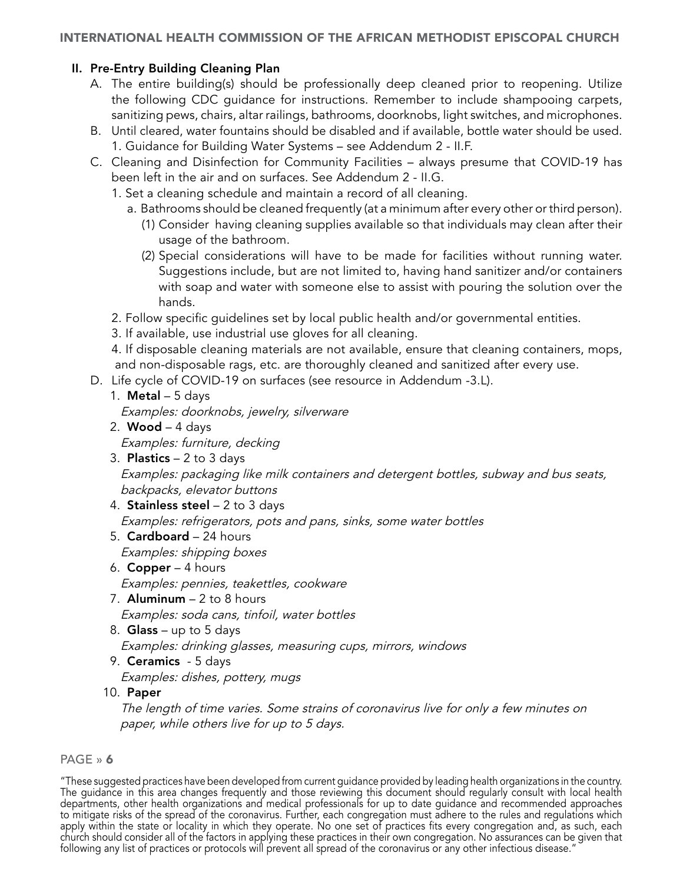## <span id="page-5-0"></span>II. Pre-Entry Building Cleaning Plan

- A. The entire building(s) should be professionally deep cleaned prior to reopening. Utilize the following CDC guidance for instructions. Remember to include shampooing carpets, sanitizing pews, chairs, altar railings, bathrooms, doorknobs, light switches, and microphones.
- B. Until cleared, water fountains should be disabled and if available, bottle water should be used. 1. Guidance for Building Water Systems – see Addendum 2 - II.F.
- C. Cleaning and Disinfection for Community Facilities always presume that COVID-19 has been left in the air and on surfaces. See Addendum 2 - II.G.
	- 1. Set a cleaning schedule and maintain a record of all cleaning.
		- a. Bathrooms should be cleaned frequently (at a minimum after every other or third person).
			- (1) Consider having cleaning supplies available so that individuals may clean after their usage of the bathroom.
			- (2) Special considerations will have to be made for facilities without running water. Suggestions include, but are not limited to, having hand sanitizer and/or containers with soap and water with someone else to assist with pouring the solution over the hands.
	- 2. Follow specific guidelines set by local public health and/or governmental entities.
	- 3. If available, use industrial use gloves for all cleaning.

4. If disposable cleaning materials are not available, ensure that cleaning containers, mops, and non-disposable rags, etc. are thoroughly cleaned and sanitized after every use.

- D. Life cycle of COVID-19 on surfaces (see resource in Addendum -3.L).
	- 1. **Metal**  $-5$  days

Examples: doorknobs, jewelry, silverware

- 2. **Wood**  $-$  4 days Examples: furniture, decking
- 3. **Plastics**  $-2$  to 3 days Examples: packaging like milk containers and detergent bottles, subway and bus seats, backpacks, elevator buttons
- 4. Stainless steel 2 to 3 days Examples: refrigerators, pots and pans, sinks, some water bottles
- 5. Cardboard 24 hours Examples: shipping boxes
- 6. **Copper**  $-4$  hours Examples: pennies, teakettles, cookware
- 7. Aluminum  $-2$  to 8 hours Examples: soda cans, tinfoil, water bottles
- 8. **Glass** up to 5 days Examples: drinking glasses, measuring cups, mirrors, windows
- 9. Ceramics 5 days
- Examples: dishes, pottery, mugs
- 10. Paper

The length of time varies. Some strains of coronavirus live for only a few minutes on paper, while others live for up to 5 days.

## PAGE » 6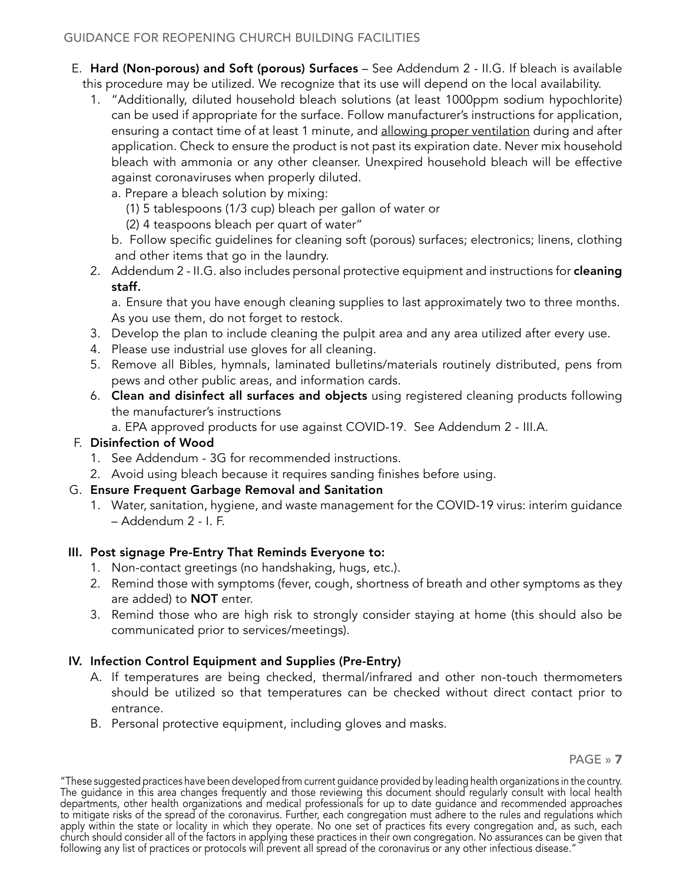- <span id="page-6-0"></span>E. Hard (Non-porous) and Soft (porous) Surfaces – See Addendum 2 - II.G. If bleach is available this procedure may be utilized. We recognize that its use will depend on the local availability.
	- 1. "Additionally, diluted household bleach solutions (at least 1000ppm sodium hypochlorite) can be used if appropriate for the surface. Follow manufacturer's instructions for application, ensuring a contact time of at least 1 minute, and allowing proper ventilation during and after application. Check to ensure the product is not past its expiration date. Never mix household bleach with ammonia or any other cleanser. Unexpired household bleach will be effective against coronaviruses when properly diluted.
		- a. Prepare a bleach solution by mixing:
			- (1) 5 tablespoons (1/3 cup) bleach per gallon of water or
			- (2) 4 teaspoons bleach per quart of water"
		- b. Follow specific guidelines for cleaning soft (porous) surfaces; electronics; linens, clothing and other items that go in the laundry.
	- 2. Addendum 2 II.G. also includes personal protective equipment and instructions for cleaning staff.

 a. Ensure that you have enough cleaning supplies to last approximately two to three months. As you use them, do not forget to restock.

- 3. Develop the plan to include cleaning the pulpit area and any area utilized after every use.
- 4. Please use industrial use gloves for all cleaning.
- 5. Remove all Bibles, hymnals, laminated bulletins/materials routinely distributed, pens from pews and other public areas, and information cards.
- 6. Clean and disinfect all surfaces and objects using registered cleaning products following the manufacturer's instructions

a. EPA approved products for use against COVID-19. See Addendum 2 - III.A.

## F. Disinfection of Wood

- 1. See Addendum 3G for recommended instructions.
- 2. Avoid using bleach because it requires sanding finishes before using.

## G. Ensure Frequent Garbage Removal and Sanitation

1. Water, sanitation, hygiene, and waste management for the COVID-19 virus: interim guidance – Addendum 2 - I. F.

## III. Post signage Pre-Entry That Reminds Everyone to:

- 1. Non-contact greetings (no handshaking, hugs, etc.).
- 2. Remind those with symptoms (fever, cough, shortness of breath and other symptoms as they are added) to **NOT** enter.
- 3. Remind those who are high risk to strongly consider staying at home (this should also be communicated prior to services/meetings).

## IV. Infection Control Equipment and Supplies (Pre-Entry)

- A. If temperatures are being checked, thermal/infrared and other non-touch thermometers should be utilized so that temperatures can be checked without direct contact prior to entrance.
- B. Personal protective equipment, including gloves and masks.

<sup>&</sup>quot;These suggested practices have been developed from current guidance provided by leading health organizations in the country. The guidance in this area changes frequently and those reviewing this document should regularly consult with local health departments, other health organizations and medical professionals for up to date guidance and recommended approaches to mitigate risks of the spread of the coronavirus. Further, each congregation must adhere to the rules and regulations which apply within the state or locality in which they operate. No one set of practices fits every congregation and, as such, each church should consider all of the factors in applying these practices in their own congregation. No assurances can be given that following any list of practices or protocols will prevent all spread of the coronavirus or any other infectious disease.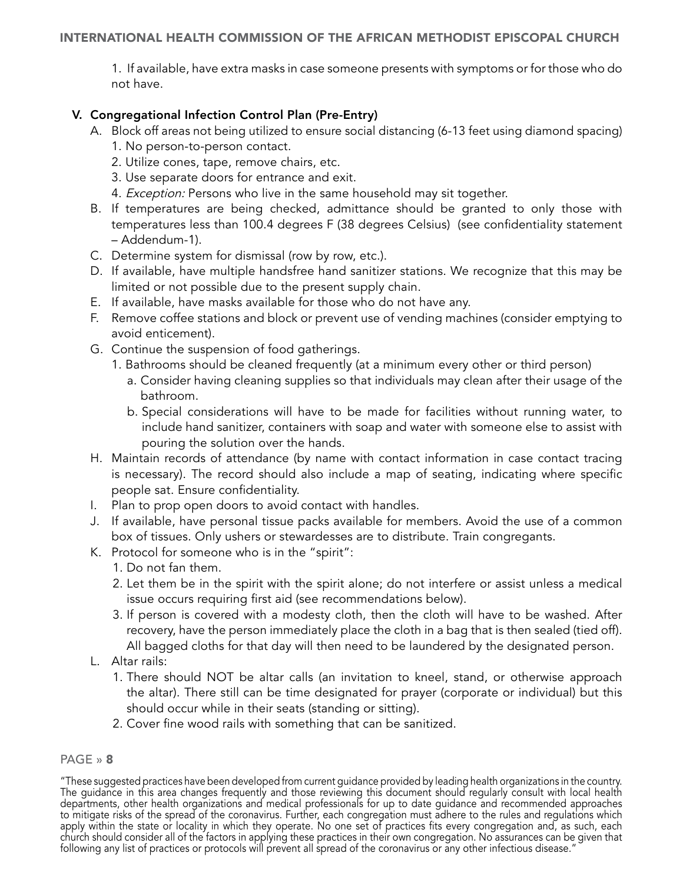<span id="page-7-0"></span>1. If available, have extra masks in case someone presents with symptoms or for those who do not have.

#### V. Congregational Infection Control Plan (Pre-Entry)

- A. Block off areas not being utilized to ensure social distancing (6-13 feet using diamond spacing)
	- 1. No person-to-person contact.
	- 2. Utilize cones, tape, remove chairs, etc.
	- 3. Use separate doors for entrance and exit.
	- 4. Exception: Persons who live in the same household may sit together.
- B. If temperatures are being checked, admittance should be granted to only those with temperatures less than 100.4 degrees F (38 degrees Celsius) (see confidentiality statement – Addendum-1).
- C. Determine system for dismissal (row by row, etc.).
- D. If available, have multiple handsfree hand sanitizer stations. We recognize that this may be limited or not possible due to the present supply chain.
- E. If available, have masks available for those who do not have any.
- F. Remove coffee stations and block or prevent use of vending machines (consider emptying to avoid enticement).
- G. Continue the suspension of food gatherings.
	- 1. Bathrooms should be cleaned frequently (at a minimum every other or third person)
		- a. Consider having cleaning supplies so that individuals may clean after their usage of the bathroom.
		- b. Special considerations will have to be made for facilities without running water, to include hand sanitizer, containers with soap and water with someone else to assist with pouring the solution over the hands.
- H. Maintain records of attendance (by name with contact information in case contact tracing is necessary). The record should also include a map of seating, indicating where specific people sat. Ensure confidentiality.
- I. Plan to prop open doors to avoid contact with handles.
- J. If available, have personal tissue packs available for members. Avoid the use of a common box of tissues. Only ushers or stewardesses are to distribute. Train congregants.
- K. Protocol for someone who is in the "spirit":
	- 1. Do not fan them.
	- 2. Let them be in the spirit with the spirit alone; do not interfere or assist unless a medical issue occurs requiring first aid (see recommendations below).
	- 3. If person is covered with a modesty cloth, then the cloth will have to be washed. After recovery, have the person immediately place the cloth in a bag that is then sealed (tied off). All bagged cloths for that day will then need to be laundered by the designated person.
- L. Altar rails:
	- 1. There should NOT be altar calls (an invitation to kneel, stand, or otherwise approach the altar). There still can be time designated for prayer (corporate or individual) but this should occur while in their seats (standing or sitting).
	- 2. Cover fine wood rails with something that can be sanitized.

#### PAGE » 8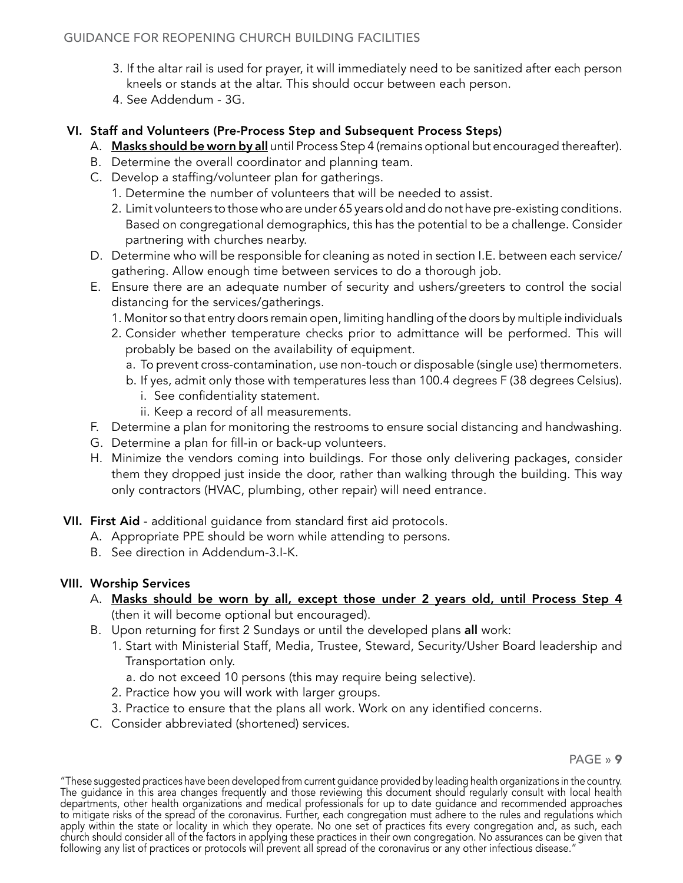- <span id="page-8-0"></span>3. If the altar rail is used for prayer, it will immediately need to be sanitized after each person kneels or stands at the altar. This should occur between each person.
- 4. See Addendum 3G.

## VI. Staff and Volunteers (Pre-Process Step and Subsequent Process Steps)

- A. Masks should be worn by all until Process Step 4 (remains optional but encouraged thereafter).
- B. Determine the overall coordinator and planning team.
- C. Develop a staffing/volunteer plan for gatherings.
	- 1. Determine the number of volunteers that will be needed to assist.
	- 2. Limit volunteers to those who are under 65 years old and do not have pre-existing conditions. Based on congregational demographics, this has the potential to be a challenge. Consider partnering with churches nearby.
- D. Determine who will be responsible for cleaning as noted in section I.E. between each service/ gathering. Allow enough time between services to do a thorough job.
- E. Ensure there are an adequate number of security and ushers/greeters to control the social distancing for the services/gatherings.
	- 1. Monitor so that entry doors remain open, limiting handling of the doors by multiple individuals
	- 2. Consider whether temperature checks prior to admittance will be performed. This will probably be based on the availability of equipment.
		- a. To prevent cross-contamination, use non-touch or disposable (single use) thermometers.
		- b. If yes, admit only those with temperatures less than 100.4 degrees F (38 degrees Celsius).
			- i. See confidentiality statement.
			- ii. Keep a record of all measurements.
- F. Determine a plan for monitoring the restrooms to ensure social distancing and handwashing.
- G. Determine a plan for fill-in or back-up volunteers.
- H. Minimize the vendors coming into buildings. For those only delivering packages, consider them they dropped just inside the door, rather than walking through the building. This way only contractors (HVAC, plumbing, other repair) will need entrance.
- VII. First Aid additional guidance from standard first aid protocols.
	- A. Appropriate PPE should be worn while attending to persons.
	- B. See direction in Addendum-3.I-K.

## VIII. Worship Services

- A. Masks should be worn by all, except those under 2 years old, until Process Step 4 (then it will become optional but encouraged).
- B. Upon returning for first 2 Sundays or until the developed plans all work:
	- 1. Start with Ministerial Staff, Media, Trustee, Steward, Security/Usher Board leadership and Transportation only.
		- a. do not exceed 10 persons (this may require being selective).
	- 2. Practice how you will work with larger groups.
	- 3. Practice to ensure that the plans all work. Work on any identified concerns.
- C. Consider abbreviated (shortened) services.

<sup>&</sup>quot;These suggested practices have been developed from current guidance provided by leading health organizations in the country. The guidance in this area changes frequently and those reviewing this document should regularly consult with local health departments, other health organizations and medical professionals for up to date guidance and recommended approaches to mitigate risks of the spread of the coronavirus. Further, each congregation must adhere to the rules and regulations which apply within the state or locality in which they operate. No one set of practices fits every congregation and, as such, each church should consider all of the factors in applying these practices in their own congregation. No assurances can be given that following any list of practices or protocols will prevent all spread of the coronavirus or any other infectious disease.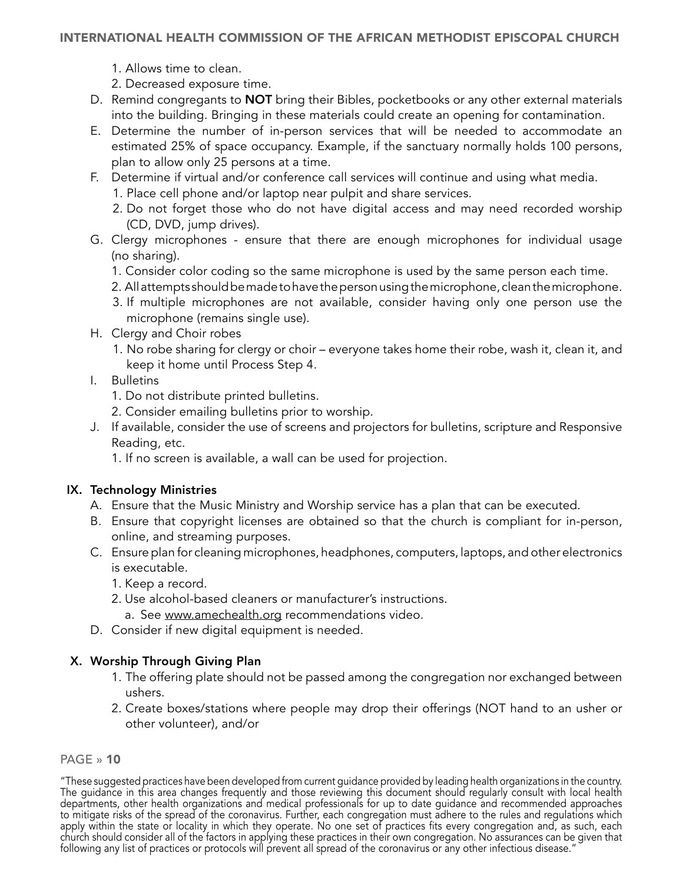#### <span id="page-9-0"></span>INTERNATIONAL HEALTH COMMISSION OF THE AFRICAN METHODIST EPISCOPAL CHURCH

- 1. Allows time to clean.
- 2. Decreased exposure time.
- D. Remind congregants to **NOT** bring their Bibles, pocketbooks or any other external materials into the building. Bringing in these materials could create an opening for contamination.
- E. Determine the number of in-person services that will be needed to accommodate an estimated 25% of space occupancy. Example, if the sanctuary normally holds 100 persons, plan to allow only 25 persons at a time.
- F. Determine if virtual and/or conference call services will continue and using what media.
	- 1. Place cell phone and/or laptop near pulpit and share services.
	- 2. Do not forget those who do not have digital access and may need recorded worship (CD, DVD, jump drives).
- G. Clergy microphones ensure that there are enough microphones for individual usage (no sharing).
	- 1. Consider color coding so the same microphone is used by the same person each time.
	- 2. All attempts should be made to have the person using the microphone, clean the microphone.
	- 3. If multiple microphones are not available, consider having only one person use the microphone (remains single use).
- H. Clergy and Choir robes
	- 1. No robe sharing for clergy or choir everyone takes home their robe, wash it, clean it, and keep it home until Process Step 4.
- I. Bulletins
	- 1. Do not distribute printed bulletins.
	- 2. Consider emailing bulletins prior to worship.
- J. If available, consider the use of screens and projectors for bulletins, scripture and Responsive Reading, etc.
	- 1. If no screen is available, a wall can be used for projection.

## IX. Technology Ministries

- A. Ensure that the Music Ministry and Worship service has a plan that can be executed.
- B. Ensure that copyright licenses are obtained so that the church is compliant for in-person, online, and streaming purposes.
- C. Ensure plan for cleaning microphones, headphones, computers, laptops, and other electronics is executable.
	- 1. Keep a record.
	- 2. Use alcohol-based cleaners or manufacturer's instructions.
		- a. See www.amechealth.org recommendations video.
- D. Consider if new digital equipment is needed.

## X. Worship Through Giving Plan

- 1. The offering plate should not be passed among the congregation nor exchanged between ushers.
- 2. Create boxes/stations where people may drop their offerings (NOT hand to an usher or other volunteer), and/or

#### PAGE » 10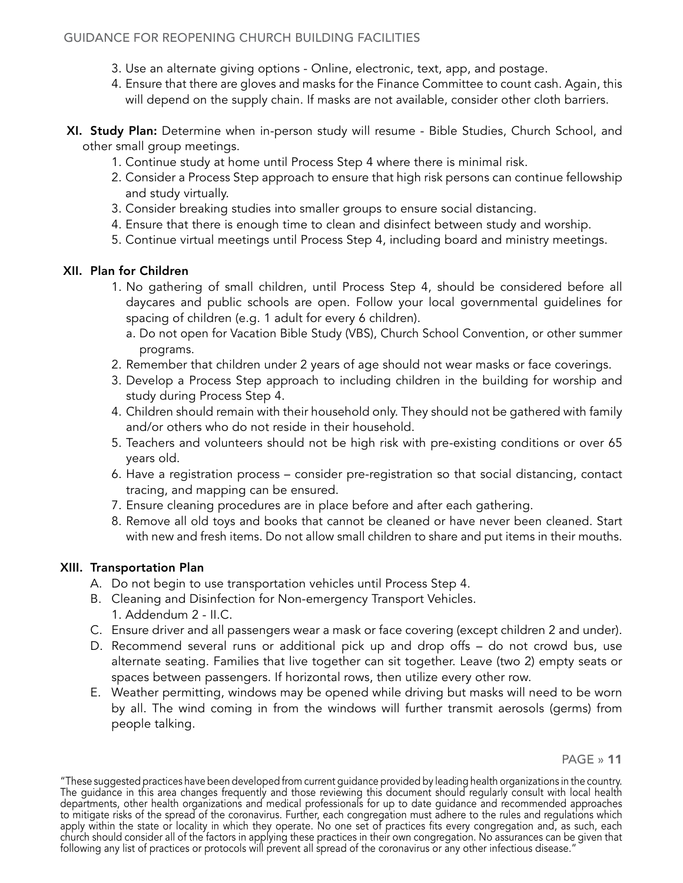- <span id="page-10-0"></span>3. Use an alternate giving options - Online, electronic, text, app, and postage.
- 4. Ensure that there are gloves and masks for the Finance Committee to count cash. Again, this will depend on the supply chain. If masks are not available, consider other cloth barriers.
- XI. Study Plan: Determine when in-person study will resume Bible Studies, Church School, and other small group meetings.
	- 1. Continue study at home until Process Step 4 where there is minimal risk.
	- 2. Consider a Process Step approach to ensure that high risk persons can continue fellowship and study virtually.
	- 3. Consider breaking studies into smaller groups to ensure social distancing.
	- 4. Ensure that there is enough time to clean and disinfect between study and worship.
	- 5. Continue virtual meetings until Process Step 4, including board and ministry meetings.

## XII. Plan for Children

- 1. No gathering of small children, until Process Step 4, should be considered before all daycares and public schools are open. Follow your local governmental guidelines for spacing of children (e.g. 1 adult for every 6 children).
	- a. Do not open for Vacation Bible Study (VBS), Church School Convention, or other summer programs.
- 2. Remember that children under 2 years of age should not wear masks or face coverings.
- 3. Develop a Process Step approach to including children in the building for worship and study during Process Step 4.
- 4. Children should remain with their household only. They should not be gathered with family and/or others who do not reside in their household.
- 5. Teachers and volunteers should not be high risk with pre-existing conditions or over 65 years old.
- 6. Have a registration process consider pre-registration so that social distancing, contact tracing, and mapping can be ensured.
- 7. Ensure cleaning procedures are in place before and after each gathering.
- 8. Remove all old toys and books that cannot be cleaned or have never been cleaned. Start with new and fresh items. Do not allow small children to share and put items in their mouths.

## XIII. Transportation Plan

- A. Do not begin to use transportation vehicles until Process Step 4.
- B. Cleaning and Disinfection for Non-emergency Transport Vehicles. 1. Addendum 2 - II.C.
- C. Ensure driver and all passengers wear a mask or face covering (except children 2 and under).
- D. Recommend several runs or additional pick up and drop offs do not crowd bus, use alternate seating. Families that live together can sit together. Leave (two 2) empty seats or spaces between passengers. If horizontal rows, then utilize every other row.
- E. Weather permitting, windows may be opened while driving but masks will need to be worn by all. The wind coming in from the windows will further transmit aerosols (germs) from people talking.

<sup>&</sup>quot;These suggested practices have been developed from current guidance provided by leading health organizations in the country. The guidance in this area changes frequently and those reviewing this document should regularly consult with local health departments, other health organizations and medical professionals for up to date guidance and recommended approaches to mitigate risks of the spread of the coronavirus. Further, each congregation must adhere to the rules and regulations which apply within the state or locality in which they operate. No one set of practices fits every congregation and, as such, each church should consider all of the factors in applying these practices in their own congregation. No assurances can be given that following any list of practices or protocols will prevent all spread of the coronavirus or any other infectious disease.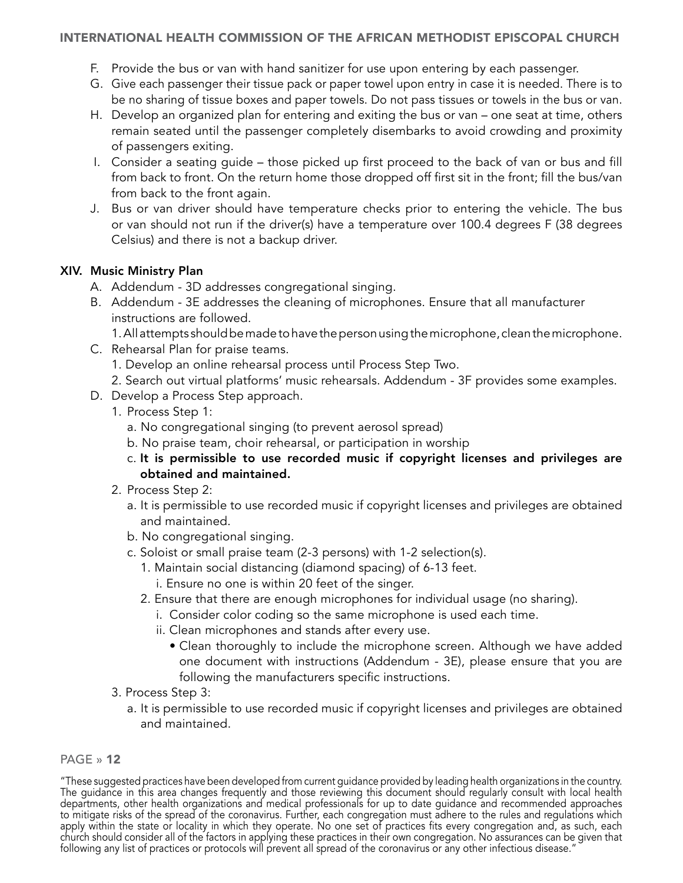## <span id="page-11-0"></span>INTERNATIONAL HEALTH COMMISSION OF THE AFRICAN METHODIST EPISCOPAL CHURCH

- F. Provide the bus or van with hand sanitizer for use upon entering by each passenger.
- G. Give each passenger their tissue pack or paper towel upon entry in case it is needed. There is to be no sharing of tissue boxes and paper towels. Do not pass tissues or towels in the bus or van.
- H. Develop an organized plan for entering and exiting the bus or van one seat at time, others remain seated until the passenger completely disembarks to avoid crowding and proximity of passengers exiting.
- I. Consider a seating guide those picked up first proceed to the back of van or bus and fill from back to front. On the return home those dropped off first sit in the front; fill the bus/van from back to the front again.
- J. Bus or van driver should have temperature checks prior to entering the vehicle. The bus or van should not run if the driver(s) have a temperature over 100.4 degrees F (38 degrees Celsius) and there is not a backup driver.

## XIV. Music Ministry Plan

- A. Addendum 3D addresses congregational singing.
- B. Addendum 3E addresses the cleaning of microphones. Ensure that all manufacturer instructions are followed.
	- 1. All attempts should be made to have the person using the microphone, clean the microphone.
- C. Rehearsal Plan for praise teams.
	- 1. Develop an online rehearsal process until Process Step Two.
	- 2. Search out virtual platforms' music rehearsals. Addendum 3F provides some examples.
- D. Develop a Process Step approach.
	- 1. Process Step 1:
		- a. No congregational singing (to prevent aerosol spread)
		- b. No praise team, choir rehearsal, or participation in worship
		- c. It is permissible to use recorded music if copyright licenses and privileges are obtained and maintained.
	- 2. Process Step 2:
		- a. It is permissible to use recorded music if copyright licenses and privileges are obtained and maintained.
		- b. No congregational singing.
		- c. Soloist or small praise team (2-3 persons) with 1-2 selection(s).
			- 1. Maintain social distancing (diamond spacing) of 6-13 feet.
				- i. Ensure no one is within 20 feet of the singer.
			- 2. Ensure that there are enough microphones for individual usage (no sharing).
				- i. Consider color coding so the same microphone is used each time.
				- ii. Clean microphones and stands after every use.
					- Clean thoroughly to include the microphone screen. Although we have added one document with instructions (Addendum - 3E), please ensure that you are following the manufacturers specific instructions.
	- 3. Process Step 3:
		- a. It is permissible to use recorded music if copyright licenses and privileges are obtained and maintained.

## PAGE » 12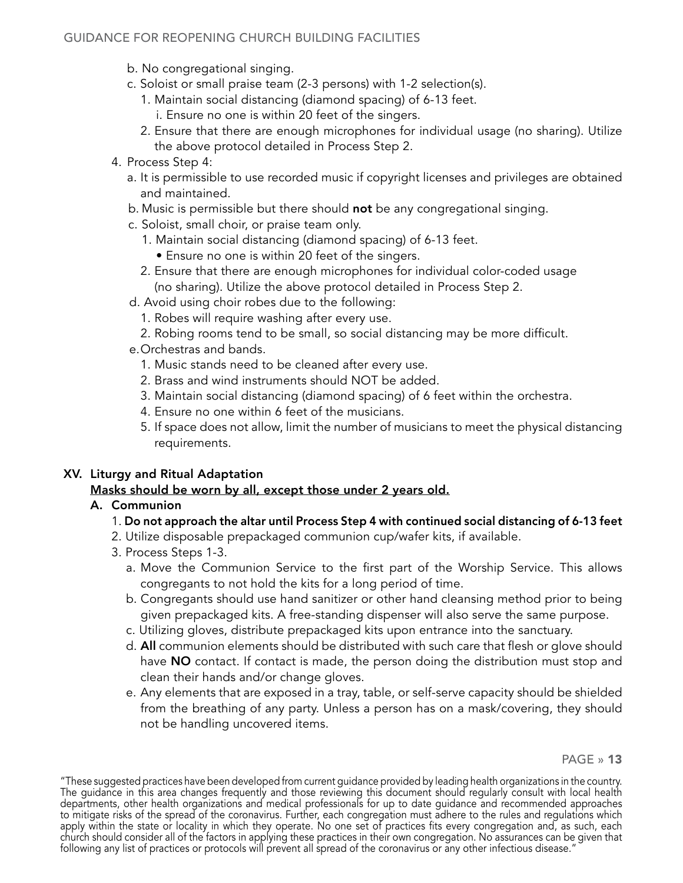- <span id="page-12-0"></span>b. No congregational singing.
- c. Soloist or small praise team (2-3 persons) with 1-2 selection(s).
	- 1. Maintain social distancing (diamond spacing) of 6-13 feet.
		- i. Ensure no one is within 20 feet of the singers.
	- 2. Ensure that there are enough microphones for individual usage (no sharing). Utilize the above protocol detailed in Process Step 2.
- 4. Process Step 4:
	- a. It is permissible to use recorded music if copyright licenses and privileges are obtained and maintained.
	- b. Music is permissible but there should not be any congregational singing.
	- c. Soloist, small choir, or praise team only.
		- 1. Maintain social distancing (diamond spacing) of 6-13 feet.
			- Ensure no one is within 20 feet of the singers.
		- 2. Ensure that there are enough microphones for individual color-coded usage (no sharing). Utilize the above protocol detailed in Process Step 2.
	- d. Avoid using choir robes due to the following:
		- 1. Robes will require washing after every use.
		- 2. Robing rooms tend to be small, so social distancing may be more difficult.
	- e.Orchestras and bands.
		- 1. Music stands need to be cleaned after every use.
		- 2. Brass and wind instruments should NOT be added.
		- 3. Maintain social distancing (diamond spacing) of 6 feet within the orchestra.
		- 4. Ensure no one within 6 feet of the musicians.
		- 5. If space does not allow, limit the number of musicians to meet the physical distancing requirements.

## XV. Liturgy and Ritual Adaptation

## Masks should be worn by all, except those under 2 years old.

## A. Communion

## 1. Do not approach the altar until Process Step 4 with continued social distancing of 6-13 feet

- 2. Utilize disposable prepackaged communion cup/wafer kits, if available.
- 3. Process Steps 1-3.
	- a. Move the Communion Service to the first part of the Worship Service. This allows congregants to not hold the kits for a long period of time.
	- b. Congregants should use hand sanitizer or other hand cleansing method prior to being given prepackaged kits. A free-standing dispenser will also serve the same purpose.
	- c. Utilizing gloves, distribute prepackaged kits upon entrance into the sanctuary.
	- d. All communion elements should be distributed with such care that flesh or glove should have NO contact. If contact is made, the person doing the distribution must stop and clean their hands and/or change gloves.
	- e. Any elements that are exposed in a tray, table, or self-serve capacity should be shielded from the breathing of any party. Unless a person has on a mask/covering, they should not be handling uncovered items.

<sup>&</sup>quot;These suggested practices have been developed from current guidance provided by leading health organizations in the country. The guidance in this area changes frequently and those reviewing this document should regularly consult with local health departments, other health organizations and medical professionals for up to date guidance and recommended approaches to mitigate risks of the spread of the coronavirus. Further, each congregation must adhere to the rules and regulations which apply within the state or locality in which they operate. No one set of practices fits every congregation and, as such, each church should consider all of the factors in applying these practices in their own congregation. No assurances can be given that following any list of practices or protocols will prevent all spread of the coronavirus or any other infectious disease."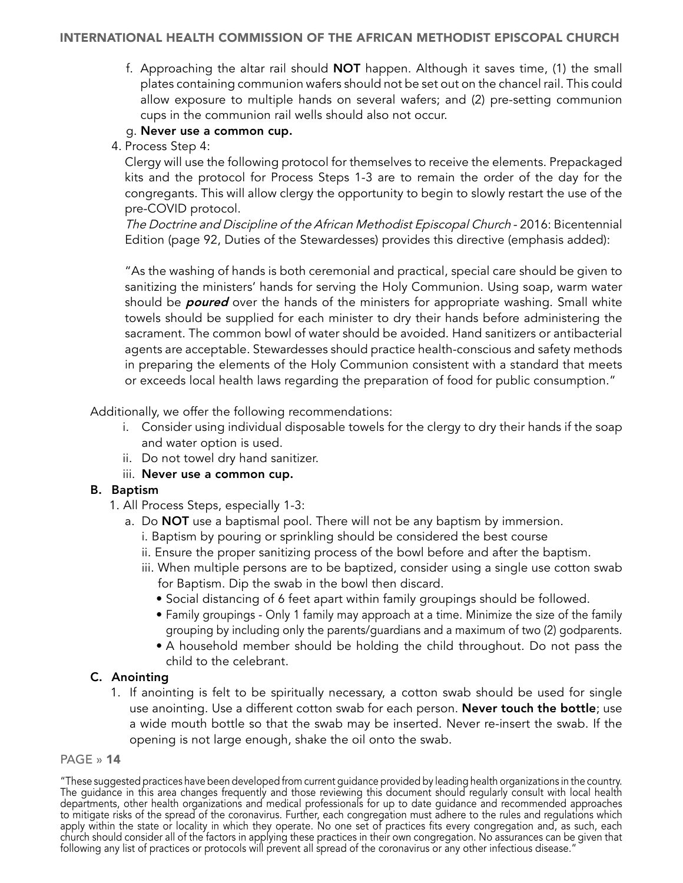<span id="page-13-0"></span>f. Approaching the altar rail should NOT happen. Although it saves time, (1) the small plates containing communion wafers should not be set out on the chancel rail. This could allow exposure to multiple hands on several wafers; and (2) pre-setting communion cups in the communion rail wells should also not occur.

## g. Never use a common cup.

4. Process Step 4:

Clergy will use the following protocol for themselves to receive the elements. Prepackaged kits and the protocol for Process Steps 1-3 are to remain the order of the day for the congregants. This will allow clergy the opportunity to begin to slowly restart the use of the pre-COVID protocol.

The Doctrine and Discipline of the African Methodist Episcopal Church - 2016: Bicentennial Edition (page 92, Duties of the Stewardesses) provides this directive (emphasis added):

"As the washing of hands is both ceremonial and practical, special care should be given to sanitizing the ministers' hands for serving the Holy Communion. Using soap, warm water should be **poured** over the hands of the ministers for appropriate washing. Small white towels should be supplied for each minister to dry their hands before administering the sacrament. The common bowl of water should be avoided. Hand sanitizers or antibacterial agents are acceptable. Stewardesses should practice health-conscious and safety methods in preparing the elements of the Holy Communion consistent with a standard that meets or exceeds local health laws regarding the preparation of food for public consumption."

Additionally, we offer the following recommendations:

- i. Consider using individual disposable towels for the clergy to dry their hands if the soap and water option is used.
- ii. Do not towel dry hand sanitizer.

## iii. Never use a common cup.

## B. Baptism

- 1. All Process Steps, especially 1-3:
	- a. Do **NOT** use a baptismal pool. There will not be any baptism by immersion.
		- i. Baptism by pouring or sprinkling should be considered the best course
		- ii. Ensure the proper sanitizing process of the bowl before and after the baptism.
		- iii. When multiple persons are to be baptized, consider using a single use cotton swab for Baptism. Dip the swab in the bowl then discard.
			- Social distancing of 6 feet apart within family groupings should be followed.
			- Family groupings Only 1 family may approach at a time. Minimize the size of the family grouping by including only the parents/guardians and a maximum of two (2) godparents.
			- A household member should be holding the child throughout. Do not pass the child to the celebrant.

## C. Anointing

1. If anointing is felt to be spiritually necessary, a cotton swab should be used for single use anointing. Use a different cotton swab for each person. **Never touch the bottle**; use a wide mouth bottle so that the swab may be inserted. Never re-insert the swab. If the opening is not large enough, shake the oil onto the swab.

#### PAGE » 14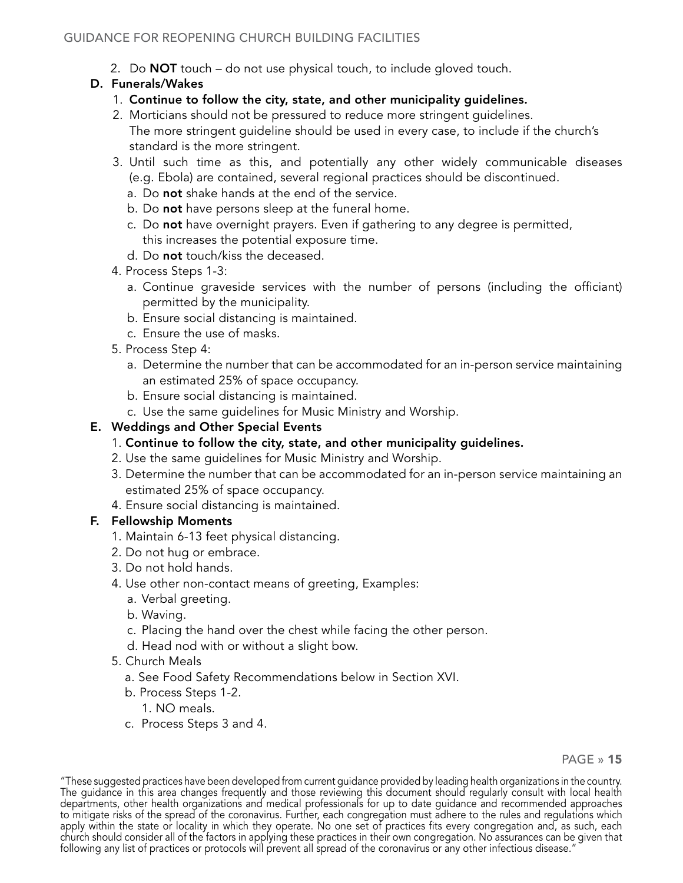2. Do NOT touch – do not use physical touch, to include gloved touch.

## <span id="page-14-0"></span>D. Funerals/Wakes

- 1. Continue to follow the city, state, and other municipality guidelines.
- 2. Morticians should not be pressured to reduce more stringent guidelines. The more stringent guideline should be used in every case, to include if the church's standard is the more stringent.
- 3. Until such time as this, and potentially any other widely communicable diseases (e.g. Ebola) are contained, several regional practices should be discontinued.
	- a. Do not shake hands at the end of the service.
	- b. Do not have persons sleep at the funeral home.
	- c. Do not have overnight prayers. Even if gathering to any degree is permitted, this increases the potential exposure time.
	- d. Do not touch/kiss the deceased.
- 4. Process Steps 1-3:
	- a. Continue graveside services with the number of persons (including the officiant) permitted by the municipality.
	- b. Ensure social distancing is maintained.
	- c. Ensure the use of masks.
- 5. Process Step 4:
	- a. Determine the number that can be accommodated for an in-person service maintaining an estimated 25% of space occupancy.
	- b. Ensure social distancing is maintained.
	- c. Use the same guidelines for Music Ministry and Worship.

## E. Weddings and Other Special Events

- 1. Continue to follow the city, state, and other municipality guidelines.
- 2. Use the same guidelines for Music Ministry and Worship.
- 3. Determine the number that can be accommodated for an in-person service maintaining an estimated 25% of space occupancy.
- 4. Ensure social distancing is maintained.

## F. Fellowship Moments

- 1. Maintain 6-13 feet physical distancing.
- 2. Do not hug or embrace.
- 3. Do not hold hands.
- 4. Use other non-contact means of greeting, Examples:
	- a. Verbal greeting.
	- b. Waving.
	- c. Placing the hand over the chest while facing the other person.
	- d. Head nod with or without a slight bow.
- 5. Church Meals
	- a. See Food Safety Recommendations below in Section XVI.
	- b. Process Steps 1-2.
		- 1. NO meals.
	- c. Process Steps 3 and 4.

PAGE » 15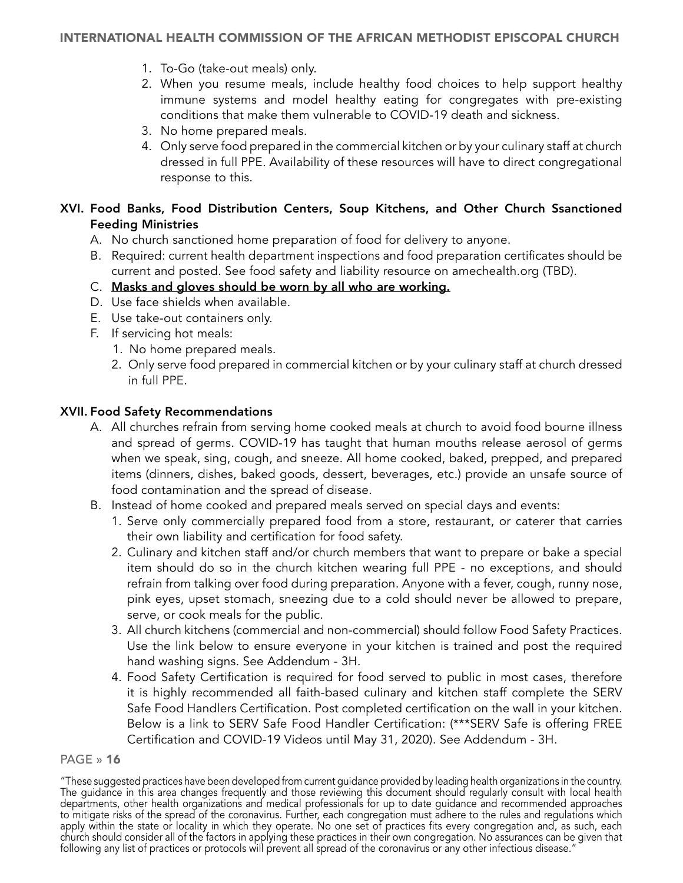- <span id="page-15-0"></span>1. To-Go (take-out meals) only.
- 2. When you resume meals, include healthy food choices to help support healthy immune systems and model healthy eating for congregates with pre-existing conditions that make them vulnerable to COVID-19 death and sickness.
- 3. No home prepared meals.
- 4. Only serve food prepared in the commercial kitchen or by your culinary staff at church dressed in full PPE. Availability of these resources will have to direct congregational response to this.

## XVI. Food Banks, Food Distribution Centers, Soup Kitchens, and Other Church Ssanctioned Feeding Ministries

- A. No church sanctioned home preparation of food for delivery to anyone.
- B. Required: current health department inspections and food preparation certificates should be current and posted. See food safety and liability resource on amechealth.org (TBD).
- C. Masks and gloves should be worn by all who are working.
- D. Use face shields when available.
- E. Use take-out containers only.
- F. If servicing hot meals:
	- 1. No home prepared meals.
	- 2. Only serve food prepared in commercial kitchen or by your culinary staff at church dressed in full PPE.

## XVII. Food Safety Recommendations

- A. All churches refrain from serving home cooked meals at church to avoid food bourne illness and spread of germs. COVID-19 has taught that human mouths release aerosol of germs when we speak, sing, cough, and sneeze. All home cooked, baked, prepped, and prepared items (dinners, dishes, baked goods, dessert, beverages, etc.) provide an unsafe source of food contamination and the spread of disease.
- B. Instead of home cooked and prepared meals served on special days and events:
	- 1. Serve only commercially prepared food from a store, restaurant, or caterer that carries their own liability and certification for food safety.
	- 2. Culinary and kitchen staff and/or church members that want to prepare or bake a special item should do so in the church kitchen wearing full PPE - no exceptions, and should refrain from talking over food during preparation. Anyone with a fever, cough, runny nose, pink eyes, upset stomach, sneezing due to a cold should never be allowed to prepare, serve, or cook meals for the public.
	- 3. All church kitchens (commercial and non-commercial) should follow Food Safety Practices. Use the link below to ensure everyone in your kitchen is trained and post the required hand washing signs. See Addendum - 3H.
	- 4. Food Safety Certification is required for food served to public in most cases, therefore it is highly recommended all faith-based culinary and kitchen staff complete the SERV Safe Food Handlers Certification. Post completed certification on the wall in your kitchen. Below is a link to SERV Safe Food Handler Certification: (\*\*\*SERV Safe is offering FREE Certification and COVID-19 Videos until May 31, 2020). See Addendum - 3H.

<sup>&</sup>quot;These suggested practices have been developed from current guidance provided by leading health organizations in the country. The guidance in this area changes frequently and those reviewing this document should regularly consult with local health departments, other health organizations and medical professionals for up to date guidance and recommended approaches to mitigate risks of the spread of the coronavirus. Further, each congregation must adhere to the rules and regulations which apply within the state or locality in which they operate. No one set of practices fits every congregation and, as such, each church should consider all of the factors in applying these practices in their own congregation. No assurances can be given that following any list of practices or protocols will prevent all spread of the coronavirus or any other infectious disease.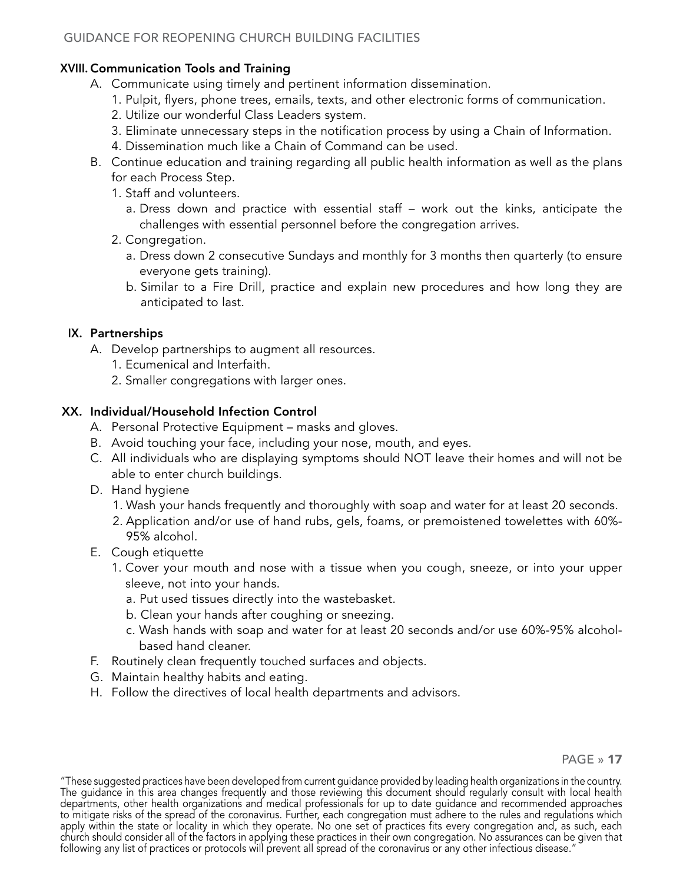## <span id="page-16-0"></span>XVIII. Communication Tools and Training

- A. Communicate using timely and pertinent information dissemination.
	- 1. Pulpit, flyers, phone trees, emails, texts, and other electronic forms of communication.
	- 2. Utilize our wonderful Class Leaders system.
	- 3. Eliminate unnecessary steps in the notification process by using a Chain of Information.
	- 4. Dissemination much like a Chain of Command can be used.
- B. Continue education and training regarding all public health information as well as the plans for each Process Step.
	- 1. Staff and volunteers.
		- a. Dress down and practice with essential staff work out the kinks, anticipate the challenges with essential personnel before the congregation arrives.
	- 2. Congregation.
		- a. Dress down 2 consecutive Sundays and monthly for 3 months then quarterly (to ensure everyone gets training).
		- b. Similar to a Fire Drill, practice and explain new procedures and how long they are anticipated to last.

## IX. Partnerships

- A. Develop partnerships to augment all resources.
	- 1. Ecumenical and Interfaith.
	- 2. Smaller congregations with larger ones.

## XX. Individual/Household Infection Control

- A. Personal Protective Equipment masks and gloves.
- B. Avoid touching your face, including your nose, mouth, and eyes.
- C. All individuals who are displaying symptoms should NOT leave their homes and will not be able to enter church buildings.
- D. Hand hygiene
	- 1. Wash your hands frequently and thoroughly with soap and water for at least 20 seconds.
	- 2. Application and/or use of hand rubs, gels, foams, or premoistened towelettes with 60%- 95% alcohol.
- E. Cough etiquette
	- 1. Cover your mouth and nose with a tissue when you cough, sneeze, or into your upper sleeve, not into your hands.
		- a. Put used tissues directly into the wastebasket.
		- b. Clean your hands after coughing or sneezing.
		- c. Wash hands with soap and water for at least 20 seconds and/or use 60%-95% alcoholbased hand cleaner.
- F. Routinely clean frequently touched surfaces and objects.
- G. Maintain healthy habits and eating.
- H. Follow the directives of local health departments and advisors.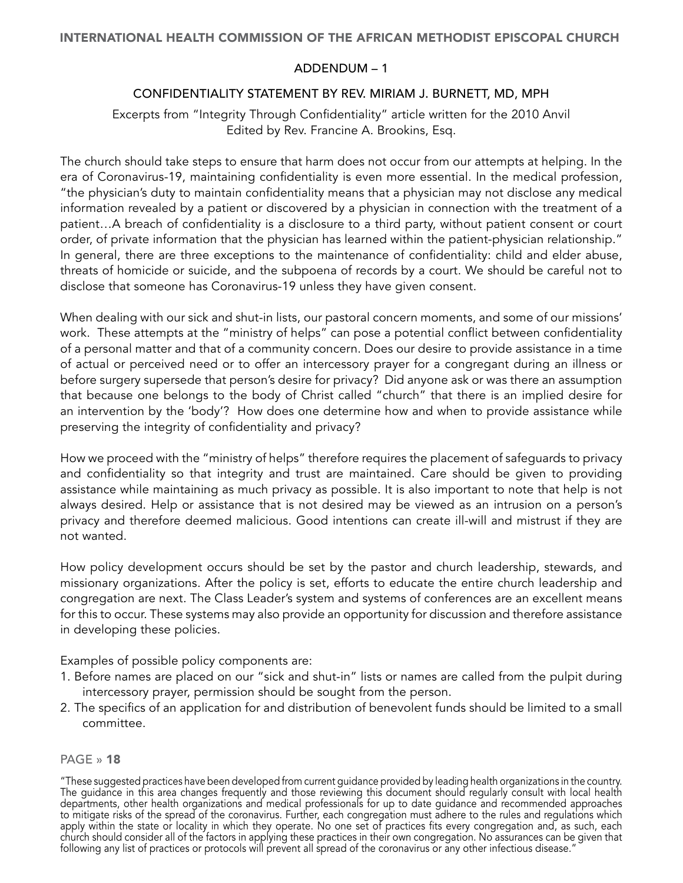## ADDENDUM – 1

## CONFIDENTIALITY STATEMENT BY REV. MIRIAM J. BURNETT, MD, MPH

<span id="page-17-0"></span>Excerpts from "Integrity Through Confidentiality" article written for the 2010 Anvil Edited by Rev. Francine A. Brookins, Esq.

The church should take steps to ensure that harm does not occur from our attempts at helping. In the era of Coronavirus-19, maintaining confidentiality is even more essential. In the medical profession, "the physician's duty to maintain confidentiality means that a physician may not disclose any medical information revealed by a patient or discovered by a physician in connection with the treatment of a patient…A breach of confidentiality is a disclosure to a third party, without patient consent or court order, of private information that the physician has learned within the patient-physician relationship." In general, there are three exceptions to the maintenance of confidentiality: child and elder abuse, threats of homicide or suicide, and the subpoena of records by a court. We should be careful not to disclose that someone has Coronavirus-19 unless they have given consent.

When dealing with our sick and shut-in lists, our pastoral concern moments, and some of our missions' work. These attempts at the "ministry of helps" can pose a potential conflict between confidentiality of a personal matter and that of a community concern. Does our desire to provide assistance in a time of actual or perceived need or to offer an intercessory prayer for a congregant during an illness or before surgery supersede that person's desire for privacy? Did anyone ask or was there an assumption that because one belongs to the body of Christ called "church" that there is an implied desire for an intervention by the 'body'? How does one determine how and when to provide assistance while preserving the integrity of confidentiality and privacy?

How we proceed with the "ministry of helps" therefore requires the placement of safeguards to privacy and confidentiality so that integrity and trust are maintained. Care should be given to providing assistance while maintaining as much privacy as possible. It is also important to note that help is not always desired. Help or assistance that is not desired may be viewed as an intrusion on a person's privacy and therefore deemed malicious. Good intentions can create ill-will and mistrust if they are not wanted.

How policy development occurs should be set by the pastor and church leadership, stewards, and missionary organizations. After the policy is set, efforts to educate the entire church leadership and congregation are next. The Class Leader's system and systems of conferences are an excellent means for this to occur. These systems may also provide an opportunity for discussion and therefore assistance in developing these policies.

Examples of possible policy components are:

- 1. Before names are placed on our "sick and shut-in" lists or names are called from the pulpit during intercessory prayer, permission should be sought from the person.
- 2. The specifics of an application for and distribution of benevolent funds should be limited to a small committee.

## PAGE » 18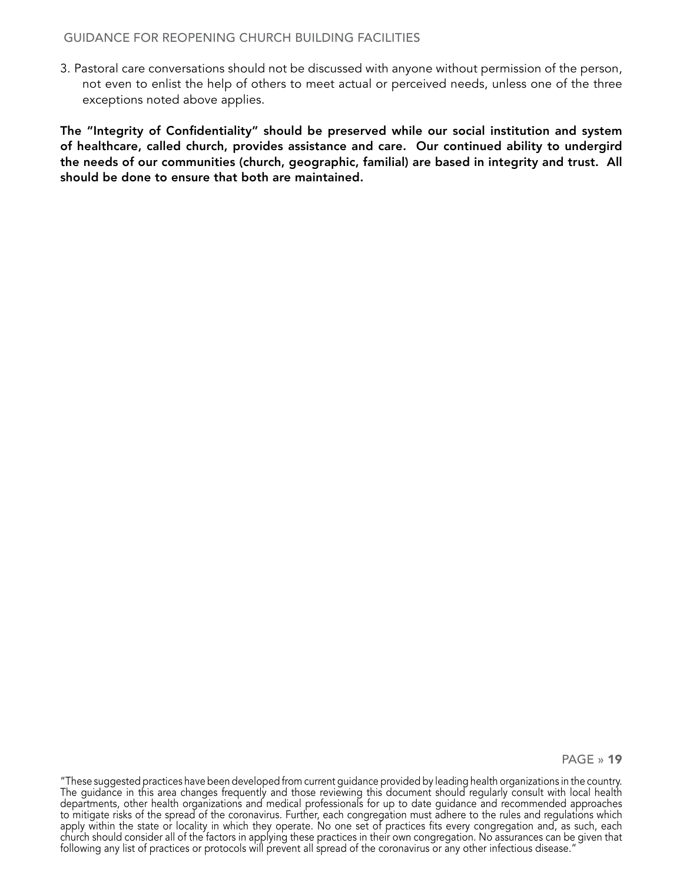#### GUIDANCE FOR REOPENING CHURCH BUILDING FACILITIES

3. Pastoral care conversations should not be discussed with anyone without permission of the person, not even to enlist the help of others to meet actual or perceived needs, unless one of the three exceptions noted above applies.

The "Integrity of Confidentiality" should be preserved while our social institution and system of healthcare, called church, provides assistance and care. Our continued ability to undergird the needs of our communities (church, geographic, familial) are based in integrity and trust. All should be done to ensure that both are maintained.

PAGE » 19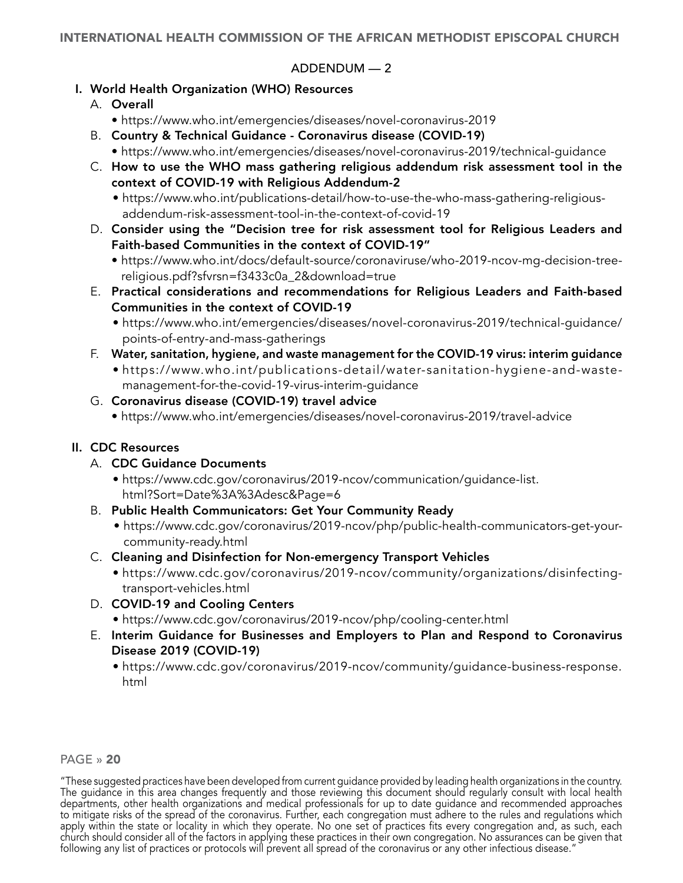## <span id="page-19-0"></span>INTERNATIONAL HEALTH COMMISSION OF THE AFRICAN METHODIST EPISCOPAL CHURCH

## ADDENDUM — 2

## I. World Health Organization (WHO) Resources

- A. Overall
	- https://www.who.int/emergencies/diseases/novel-coronavirus-2019
- B. Country & Technical Guidance Coronavirus disease (COVID-19)
	- https://www.who.int/emergencies/diseases/novel-coronavirus-2019/technical-guidance
- C. How to use the WHO mass gathering religious addendum risk assessment tool in the context of COVID-19 with Religious Addendum-2
	- https://www.who.int/publications-detail/how-to-use-the-who-mass-gathering-religiousaddendum-risk-assessment-tool-in-the-context-of-covid-19
- D. Consider using the "Decision tree for risk assessment tool for Religious Leaders and Faith-based Communities in the context of COVID-19"
	- https://www.who.int/docs/default-source/coronaviruse/who-2019-ncov-mg-decision-treereligious.pdf?sfvrsn=f3433c0a\_2&download=true
- E. Practical considerations and recommendations for Religious Leaders and Faith-based Communities in the context of COVID-19
	- https://www.who.int/emergencies/diseases/novel-coronavirus-2019/technical-guidance/ points-of-entry-and-mass-gatherings
- F. Water, sanitation, hygiene, and waste management for the COVID-19 virus: interim guidance
	- https://www.who.int/publications-detail/water-sanitation-hygiene-and-wastemanagement-for-the-covid-19-virus-interim-guidance

## G. Coronavirus disease (COVID-19) travel advice

• https://www.who.int/emergencies/diseases/novel-coronavirus-2019/travel-advice

## II. CDC Resources

- A. CDC Guidance Documents
	- https://www.cdc.gov/coronavirus/2019-ncov/communication/guidance-list. html?Sort=Date%3A%3Adesc&Page=6
- B. Public Health Communicators: Get Your Community Ready
	- https://www.cdc.gov/coronavirus/2019-ncov/php/public-health-communicators-get-yourcommunity-ready.html
- C. Cleaning and Disinfection for Non-emergency Transport Vehicles
	- https://www.cdc.gov/coronavirus/2019-ncov/community/organizations/disinfectingtransport-vehicles.html
- D. COVID-19 and Cooling Centers
	- https://www.cdc.gov/coronavirus/2019-ncov/php/cooling-center.html
- E. Interim Guidance for Businesses and Employers to Plan and Respond to Coronavirus Disease 2019 (COVID-19)
	- https://www.cdc.gov/coronavirus/2019-ncov/community/guidance-business-response. html

#### PAGE » 20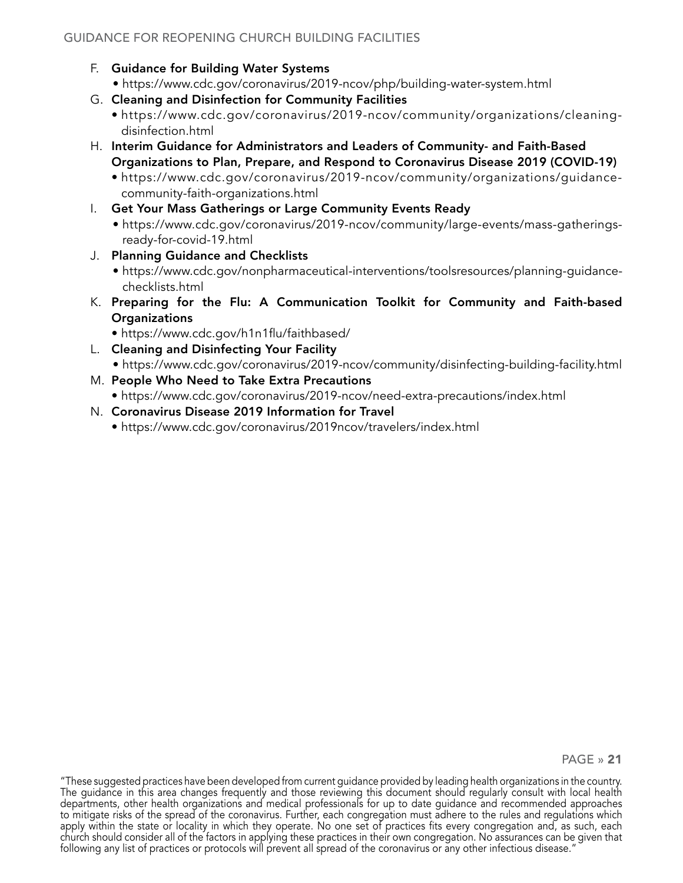- F. Guidance for Building Water Systems
	- https://www.cdc.gov/coronavirus/2019-ncov/php/building-water-system.html
- G. Cleaning and Disinfection for Community Facilities
	- https://www.cdc.gov/coronavirus/2019-ncov/community/organizations/cleaningdisinfection.html
- H. Interim Guidance for Administrators and Leaders of Community- and Faith-Based Organizations to Plan, Prepare, and Respond to Coronavirus Disease 2019 (COVID-19)
	- https://www.cdc.gov/coronavirus/2019-ncov/community/organizations/guidancecommunity-faith-organizations.html
- I. Get Your Mass Gatherings or Large Community Events Ready
	- https://www.cdc.gov/coronavirus/2019-ncov/community/large-events/mass-gatheringsready-for-covid-19.html
- J. Planning Guidance and Checklists
	- https://www.cdc.gov/nonpharmaceutical-interventions/toolsresources/planning-guidancechecklists.html
- K. Preparing for the Flu: A Communication Toolkit for Community and Faith-based **Organizations** 
	- https://www.cdc.gov/h1n1flu/faithbased/
- L. Cleaning and Disinfecting Your Facility
- https://www.cdc.gov/coronavirus/2019-ncov/community/disinfecting-building-facility.html M. People Who Need to Take Extra Precautions
	- https://www.cdc.gov/coronavirus/2019-ncov/need-extra-precautions/index.html
- N. Coronavirus Disease 2019 Information for Travel
	- https://www.cdc.gov/coronavirus/2019ncov/travelers/index.html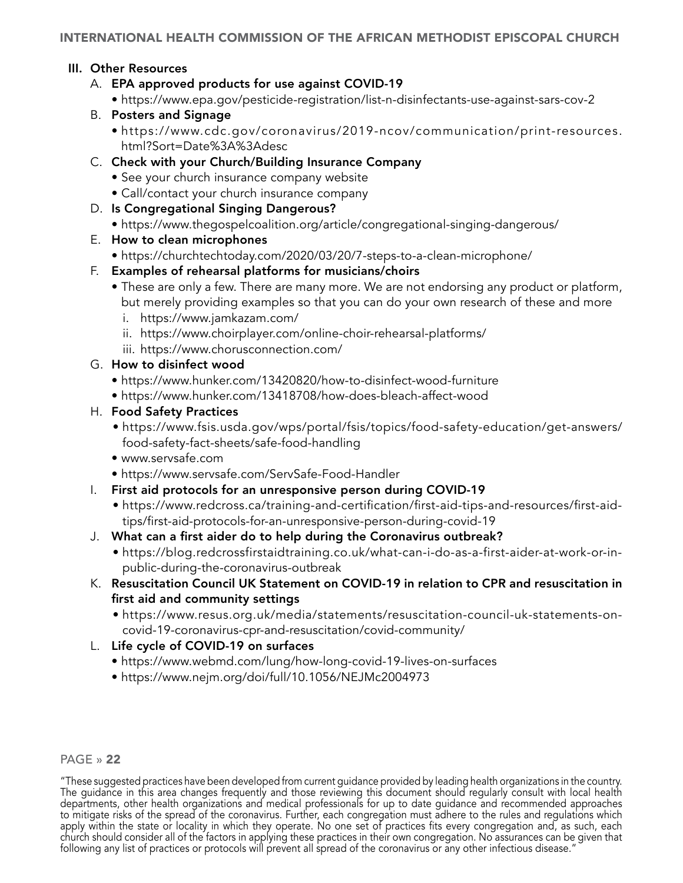## <span id="page-21-0"></span>III. Other Resources

- A. EPA approved products for use against COVID-19
	- https://www.epa.gov/pesticide-registration/list-n-disinfectants-use-against-sars-cov-2
- B. Posters and Signage
	- https://www.cdc.gov/coronavirus/2019-ncov/communication/print-resources. html?Sort=Date%3A%3Adesc
- C. Check with your Church/Building Insurance Company
	- See your church insurance company website
	- Call/contact your church insurance company
- D. Is Congregational Singing Dangerous?
	- https://www.thegospelcoalition.org/article/congregational-singing-dangerous/
- E. How to clean microphones
	- https://churchtechtoday.com/2020/03/20/7-steps-to-a-clean-microphone/
- F. Examples of rehearsal platforms for musicians/choirs
	- These are only a few. There are many more. We are not endorsing any product or platform, but merely providing examples so that you can do your own research of these and more
		- i. https://www.jamkazam.com/
		- ii. https://www.choirplayer.com/online-choir-rehearsal-platforms/
		- iii. https://www.chorusconnection.com/
- G. How to disinfect wood
	- https://www.hunker.com/13420820/how-to-disinfect-wood-furniture
	- https://www.hunker.com/13418708/how-does-bleach-affect-wood
- H. Food Safety Practices
	- https://www.fsis.usda.gov/wps/portal/fsis/topics/food-safety-education/get-answers/ food-safety-fact-sheets/safe-food-handling
	- www.servsafe.com
	- https://www.servsafe.com/ServSafe-Food-Handler
- I. First aid protocols for an unresponsive person during COVID-19
	- https://www.redcross.ca/training-and-certification/first-aid-tips-and-resources/first-aidtips/first-aid-protocols-for-an-unresponsive-person-during-covid-19
- J. What can a first aider do to help during the Coronavirus outbreak?
	- https://blog.redcrossfirstaidtraining.co.uk/what-can-i-do-as-a-first-aider-at-work-or-inpublic-during-the-coronavirus-outbreak
- K. Resuscitation Council UK Statement on COVID-19 in relation to CPR and resuscitation in first aid and community settings
	- https://www.resus.org.uk/media/statements/resuscitation-council-uk-statements-oncovid-19-coronavirus-cpr-and-resuscitation/covid-community/
- L. Life cycle of COVID-19 on surfaces
	- https://www.webmd.com/lung/how-long-covid-19-lives-on-surfaces
	- https://www.nejm.org/doi/full/10.1056/NEJMc2004973

#### PAGE » 22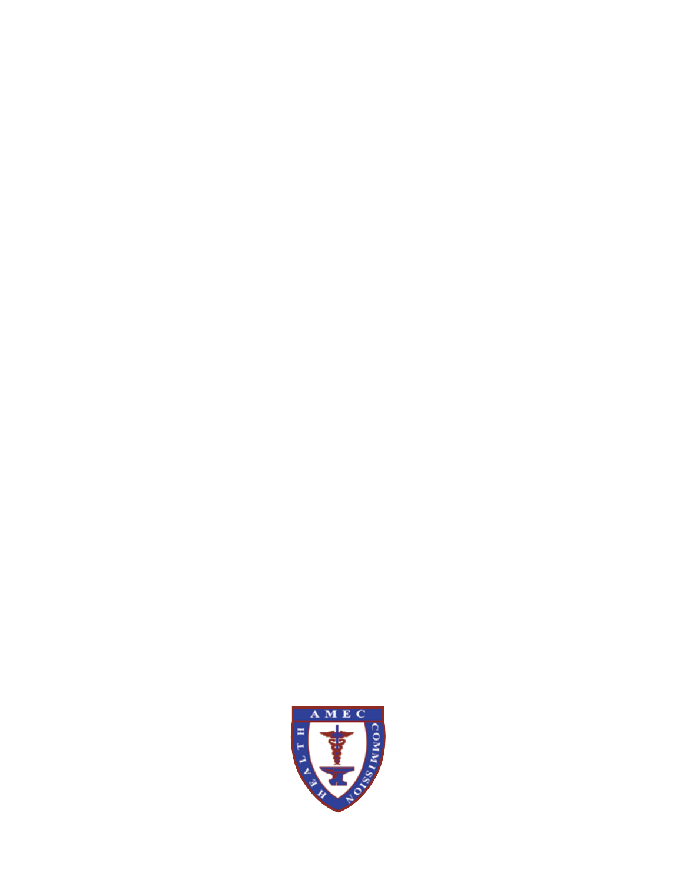